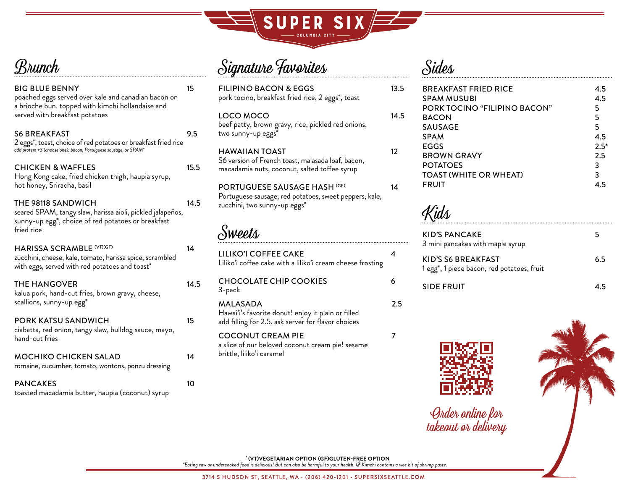

**Brunch** 

| <b>BIG BLUE BENNY</b><br>poached eggs served over kale and canadian bacon on<br>a brioche bun. topped with kimchi hollandaise and              | 15   | <b>FILIPII</b><br>pork to |
|------------------------------------------------------------------------------------------------------------------------------------------------|------|---------------------------|
| served with breakfast potatoes                                                                                                                 |      | LOCO<br>beef pa           |
| <b>S6 BREAKFAST</b><br>2 eggs <sup>*</sup> , toast, choice of red potatoes or breakfast fried rice                                             | 9.5  | two sun                   |
| add protein +3 (choose one): bacon, Portuguese sausage, or SPAM*<br><b>CHICKEN &amp; WAFFLES</b>                                               | 15.5 | <b>HAWA</b><br>S6 versi   |
| Hong Kong cake, fried chicken thigh, haupia syrup,<br>hot honey, Sriracha, basil                                                               |      | macada<br><b>PORTU</b>    |
| THE 98118 SANDWICH<br>seared SPAM, tangy slaw, harissa aioli, pickled jalapeños,                                                               | 14.5 | Portugu<br>zucchin        |
| sunny-up egg <sup>*</sup> , choice of red potatoes or breakfast<br>fried rice                                                                  |      |                           |
| <b>HARISSA SCRAMBLE (VT)(GF)</b><br>zucchini, cheese, kale, tomato, harissa spice, scrambled<br>with eggs, served with red potatoes and toast* | 14   | LILIKC<br>Liliko'i c      |
| THE HANGOVER<br>kalua pork, hand-cut fries, brown gravy, cheese,                                                                               | 14.5 | CHOC<br>3-pack            |
| scallions, sunny-up egg*                                                                                                                       |      | <b>MALA</b><br>Hawai'i'   |
| PORK KATSU SANDWICH<br>ciabatta, red onion, tangy slaw, bulldog sauce, mayo,                                                                   | 15   | add fillin                |
| hand-cut fries                                                                                                                                 |      | COCC<br>a slice o         |
| <b>MOCHIKO CHICKEN SALAD</b><br>romaine, cucumber, tomato, wontons, ponzu dressing                                                             | 14   | brittle, l                |
| <b>PANCAKES</b><br>toasted macadamia butter, haupia (coconut) syrup                                                                            | 10   |                           |

## Signature Favorites

| <b>FILIPINO BACON &amp; EGGS</b><br>pork tocino, breakfast fried rice, 2 eggs*, toast                                         | 13.5 |
|-------------------------------------------------------------------------------------------------------------------------------|------|
| LOCO MOCO<br>beef patty, brown gravy, rice, pickled red onions,<br>two sunny-up eggs*                                         | 14.5 |
| HAWAIIAN TOAST<br>S6 version of French toast, malasada loaf, bacon,<br>macadamia nuts, coconut, salted toffee syrup           | 12   |
| <b>PORTUGUESE SAUSAGE HASH (GF)</b><br>Portuguese sausage, red potatoes, sweet peppers, kale,<br>zucchini, two sunny-up eggs* | 14   |
| Sweets                                                                                                                        |      |
| LILIKO'I COFFEE CAKE<br>Liliko'i coffee cake with a liliko'i cream cheese frosting                                            |      |

COLATE CHIP COOKIES 6 MALASADA 2.5 Hawai'i's favorite donut! enjoy it plain or filled  $\frac{1}{2}$ ng for 2.5. ask server for flavor choices ONUT CREAM PIE 7

## of our beloved coconut cream pie! sesame liliko'i caramel

## Sides

| <b>BREAKFAST FRIED RICE</b>  | 4.5    |
|------------------------------|--------|
| <b>SPAM MUSUBI</b>           | 4.5    |
| PORK TOCINO "FILIPINO BACON" | 5      |
| <b>BACON</b>                 | 5      |
| <b>SAUSAGE</b>               | 5      |
| <b>SPAM</b>                  | 4.5    |
| EGGS                         | $2.5*$ |
| <b>BROWN GRAVY</b>           | 2.5    |
| <b>POTATOES</b>              | 3      |
| TOAST (WHITE OR WHEAT)       | 3      |
| FRUIT                        | 4 5    |
|                              |        |

Kids

| KID'S PANCAKE<br>3 mini pancakes with maple syrup                | 5   |
|------------------------------------------------------------------|-----|
| KID'S S6 BREAKFAST<br>1 egg*, 1 piece bacon, red potatoes, fruit | 6.5 |
| SIDE FRUIT                                                       | 45  |



Order online for takeout or delivery



*\** **(VT)VEGETARIAN OPTION (GF)GLUTEN-FREE OPTION** 

*\*Eating raw or undercooked food is delicious! But can also be harmful to your health. Kimchi contains a wee bit of shrimp paste.*

3714 S HUDSON ST, SEATTLE, WA · (206) 420-1201 · SUPERSIXSEATTLE.COM